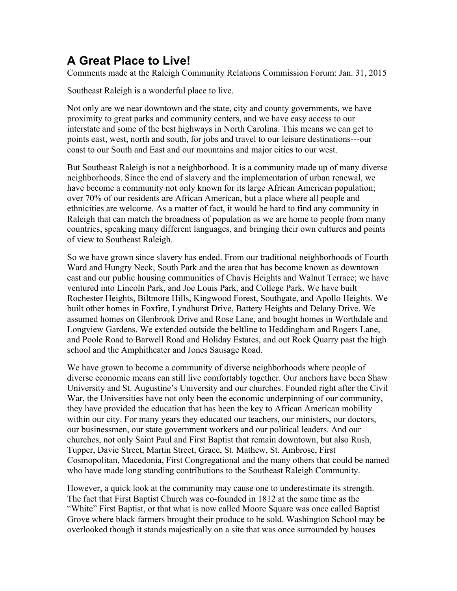## **A Great Place to Live!**

Comments made at the Raleigh Community Relations Commission Forum: Jan. 31, 2015

Southeast Raleigh is a wonderful place to live.

Not only are we near downtown and the state, city and county governments, we have proximity to great parks and community centers, and we have easy access to our interstate and some of the best highways in North Carolina. This means we can get to points east, west, north and south, for jobs and travel to our leisure destinations---our coast to our South and East and our mountains and major cities to our west.

But Southeast Raleigh is not a neighborhood. It is a community made up of many diverse neighborhoods. Since the end of slavery and the implementation of urban renewal, we have become a community not only known for its large African American population; over 70% of our residents are African American, but a place where all people and ethnicities are welcome. As a matter of fact, it would be hard to find any community in Raleigh that can match the broadness of population as we are home to people from many countries, speaking many different languages, and bringing their own cultures and points of view to Southeast Raleigh.

So we have grown since slavery has ended. From our traditional neighborhoods of Fourth Ward and Hungry Neck, South Park and the area that has become known as downtown east and our public housing communities of Chavis Heights and Walnut Terrace; we have ventured into Lincoln Park, and Joe Louis Park, and College Park. We have built Rochester Heights, Biltmore Hills, Kingwood Forest, Southgate, and Apollo Heights. We built other homes in Foxfire, Lyndhurst Drive, Battery Heights and Delany Drive. We assumed homes on Glenbrook Drive and Rose Lane, and bought homes in Worthdale and Longview Gardens. We extended outside the beltline to Heddingham and Rogers Lane, and Poole Road to Barwell Road and Holiday Estates, and out Rock Quarry past the high school and the Amphitheater and Jones Sausage Road.

We have grown to become a community of diverse neighborhoods where people of diverse economic means can still live comfortably together. Our anchors have been Shaw University and St. Augustine's University and our churches. Founded right after the Civil War, the Universities have not only been the economic underpinning of our community, they have provided the education that has been the key to African American mobility within our city. For many years they educated our teachers, our ministers, our doctors, our businessmen, our state government workers and our political leaders. And our churches, not only Saint Paul and First Baptist that remain downtown, but also Rush, Tupper, Davie Street, Martin Street, Grace, St. Mathew, St. Ambrose, First Cosmopolitan, Macedonia, First Congregational and the many others that could be named who have made long standing contributions to the Southeast Raleigh Community.

However, a quick look at the community may cause one to underestimate its strength. The fact that First Baptist Church was co-founded in 1812 at the same time as the "White" First Baptist, or that what is now called Moore Square was once called Baptist Grove where black farmers brought their produce to be sold. Washington School may be overlooked though it stands majestically on a site that was once surrounded by houses